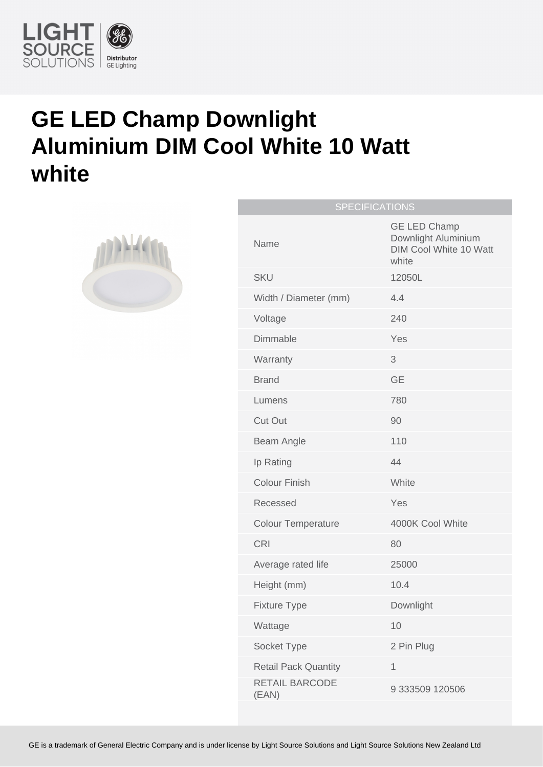

## **GE LED Champ Downlight Aluminium DIM Cool White 10 Watt white**



| <b>SPECIFICATIONS</b>          |                                                                                      |
|--------------------------------|--------------------------------------------------------------------------------------|
| Name                           | <b>GE LED Champ</b><br>Downlight Aluminium<br><b>DIM Cool White 10 Watt</b><br>white |
| <b>SKU</b>                     | 12050L                                                                               |
| Width / Diameter (mm)          | 4.4                                                                                  |
| Voltage                        | 240                                                                                  |
| Dimmable                       | Yes                                                                                  |
| Warranty                       | 3                                                                                    |
| <b>Brand</b>                   | <b>GE</b>                                                                            |
| Lumens                         | 780                                                                                  |
| <b>Cut Out</b>                 | 90                                                                                   |
| Beam Angle                     | 110                                                                                  |
| Ip Rating                      | 44                                                                                   |
| <b>Colour Finish</b>           | White                                                                                |
| Recessed                       | Yes                                                                                  |
| <b>Colour Temperature</b>      | 4000K Cool White                                                                     |
| <b>CRI</b>                     | 80                                                                                   |
| Average rated life             | 25000                                                                                |
| Height (mm)                    | 10.4                                                                                 |
| <b>Fixture Type</b>            | Downlight                                                                            |
| Wattage                        | 10                                                                                   |
| Socket Type                    | 2 Pin Plug                                                                           |
| <b>Retail Pack Quantity</b>    | 1                                                                                    |
| <b>RETAIL BARCODE</b><br>(EAN) | 9 333509 120506                                                                      |